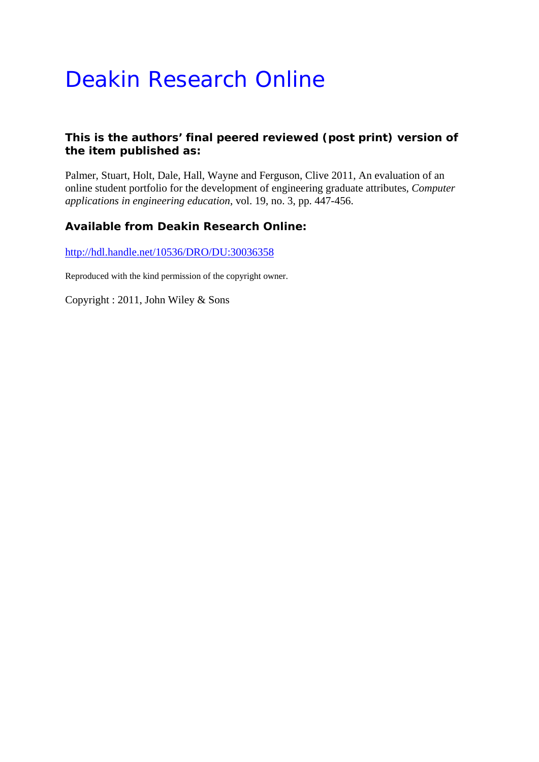# Deakin Research Online

## **This is the authors' final peered reviewed (post print) version of the item published as:**

Palmer, Stuart, Holt, Dale, Hall, Wayne and Ferguson, Clive 2011, An evaluation of an online student portfolio for the development of engineering graduate attributes*, Computer applications in engineering education*, vol. 19, no. 3, pp. 447-456.

## **Available from Deakin Research Online:**

http://hdl.handle.net/10536/DRO/DU:30036358

Reproduced with the kind permission of the copyright owner.

Copyright : 2011, John Wiley & Sons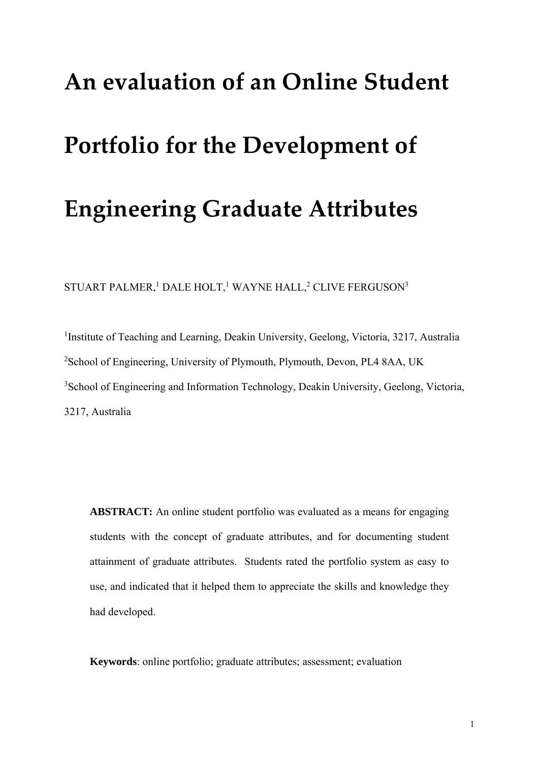# **An evaluation of an Online Student**

# **Portfolio for the Development of**

# **Engineering Graduate Attributes**

STUART PALMER,<sup>1</sup> DALE HOLT,<sup>1</sup> WAYNE HALL,<sup>2</sup> CLIVE FERGUSON<sup>3</sup>

<sup>1</sup>Institute of Teaching and Learning, Deakin University, Geelong, Victoria, 3217, Australia <sup>2</sup>School of Engineering, University of Plymouth, Plymouth, Devon, PL4 8AA, UK <sup>3</sup>School of Engineering and Information Technology, Deakin University, Geelong, Victoria, 3217, Australia

**ABSTRACT:** An online student portfolio was evaluated as a means for engaging students with the concept of graduate attributes, and for documenting student attainment of graduate attributes. Students rated the portfolio system as easy to use, and indicated that it helped them to appreciate the skills and knowledge they had developed.

**Keywords**: online portfolio; graduate attributes; assessment; evaluation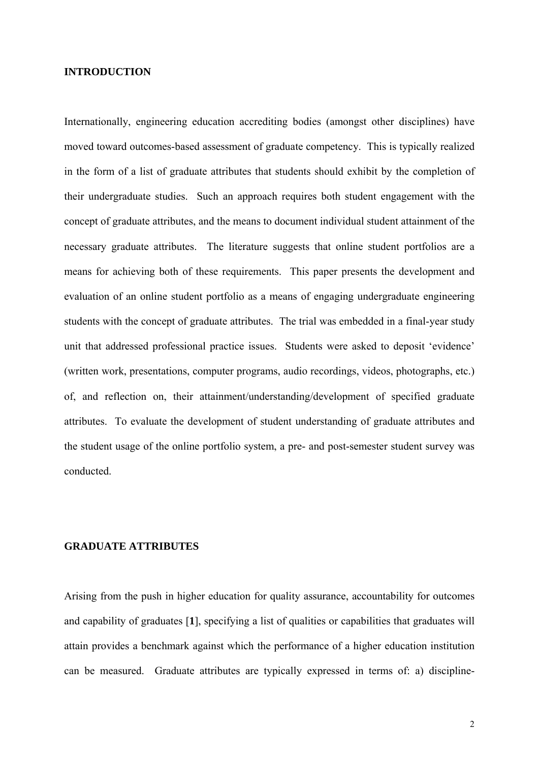#### **INTRODUCTION**

Internationally, engineering education accrediting bodies (amongst other disciplines) have moved toward outcomes-based assessment of graduate competency. This is typically realized in the form of a list of graduate attributes that students should exhibit by the completion of their undergraduate studies. Such an approach requires both student engagement with the concept of graduate attributes, and the means to document individual student attainment of the necessary graduate attributes. The literature suggests that online student portfolios are a means for achieving both of these requirements. This paper presents the development and evaluation of an online student portfolio as a means of engaging undergraduate engineering students with the concept of graduate attributes. The trial was embedded in a final-year study unit that addressed professional practice issues. Students were asked to deposit 'evidence' (written work, presentations, computer programs, audio recordings, videos, photographs, etc.) of, and reflection on, their attainment/understanding/development of specified graduate attributes. To evaluate the development of student understanding of graduate attributes and the student usage of the online portfolio system, a pre- and post-semester student survey was conducted.

#### **GRADUATE ATTRIBUTES**

Arising from the push in higher education for quality assurance, accountability for outcomes and capability of graduates [**1**], specifying a list of qualities or capabilities that graduates will attain provides a benchmark against which the performance of a higher education institution can be measured. Graduate attributes are typically expressed in terms of: a) discipline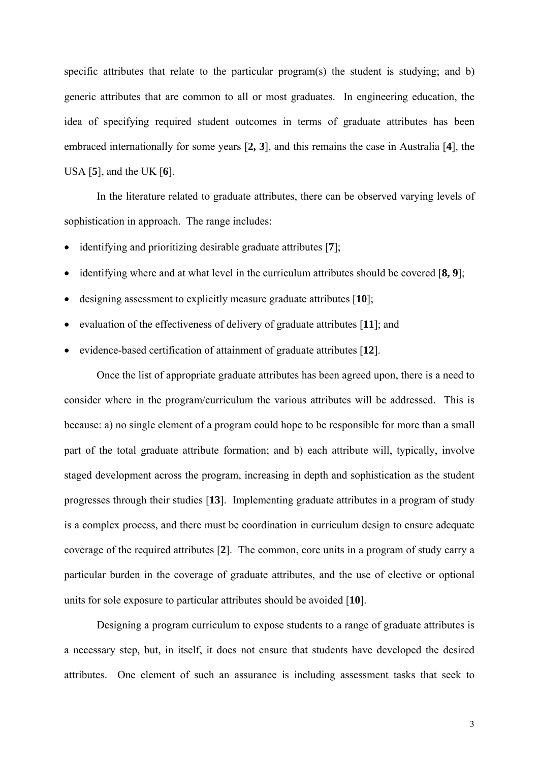specific attributes that relate to the particular program(s) the student is studying; and b) generic attributes that are common to all or most graduates. In engineering education, the idea of specifying required student outcomes in terms of graduate attributes has been embraced internationally for some years [**2, 3**], and this remains the case in Australia [**4**], the USA [**5**], and the UK [**6**].

In the literature related to graduate attributes, there can be observed varying levels of sophistication in approach. The range includes:

- identifying and prioritizing desirable graduate attributes [**7**];
- identifying where and at what level in the curriculum attributes should be covered [**8, 9**];
- designing assessment to explicitly measure graduate attributes [**10**];
- evaluation of the effectiveness of delivery of graduate attributes [**11**]; and
- evidence-based certification of attainment of graduate attributes [**12**].

Once the list of appropriate graduate attributes has been agreed upon, there is a need to consider where in the program/curriculum the various attributes will be addressed. This is because: a) no single element of a program could hope to be responsible for more than a small part of the total graduate attribute formation; and b) each attribute will, typically, involve staged development across the program, increasing in depth and sophistication as the student progresses through their studies [**13**]. Implementing graduate attributes in a program of study is a complex process, and there must be coordination in curriculum design to ensure adequate coverage of the required attributes [**2**]. The common, core units in a program of study carry a particular burden in the coverage of graduate attributes, and the use of elective or optional units for sole exposure to particular attributes should be avoided [**10**].

Designing a program curriculum to expose students to a range of graduate attributes is a necessary step, but, in itself, it does not ensure that students have developed the desired attributes. One element of such an assurance is including assessment tasks that seek to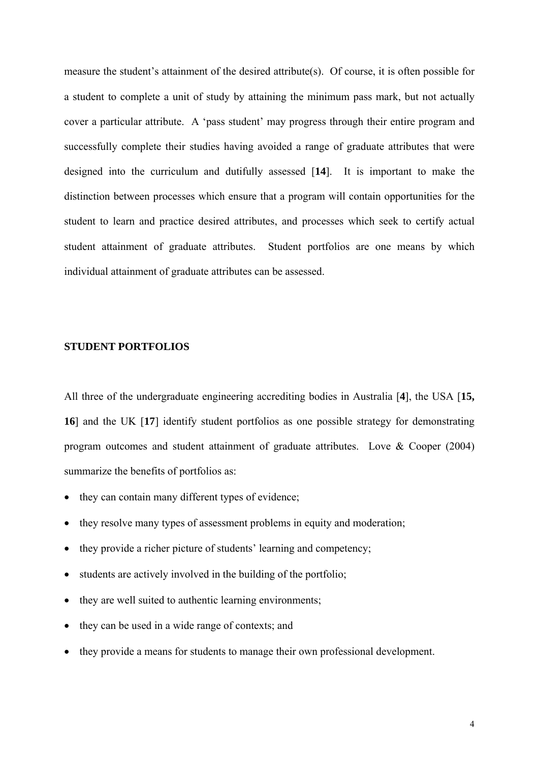measure the student's attainment of the desired attribute(s). Of course, it is often possible for a student to complete a unit of study by attaining the minimum pass mark, but not actually cover a particular attribute. A 'pass student' may progress through their entire program and successfully complete their studies having avoided a range of graduate attributes that were designed into the curriculum and dutifully assessed [**14**]. It is important to make the distinction between processes which ensure that a program will contain opportunities for the student to learn and practice desired attributes, and processes which seek to certify actual student attainment of graduate attributes. Student portfolios are one means by which individual attainment of graduate attributes can be assessed.

#### **STUDENT PORTFOLIOS**

All three of the undergraduate engineering accrediting bodies in Australia [**4**], the USA [**15, 16**] and the UK [**17**] identify student portfolios as one possible strategy for demonstrating program outcomes and student attainment of graduate attributes. Love & Cooper (2004) summarize the benefits of portfolios as:

- they can contain many different types of evidence;
- they resolve many types of assessment problems in equity and moderation;
- they provide a richer picture of students' learning and competency;
- students are actively involved in the building of the portfolio;
- they are well suited to authentic learning environments;
- they can be used in a wide range of contexts; and
- they provide a means for students to manage their own professional development.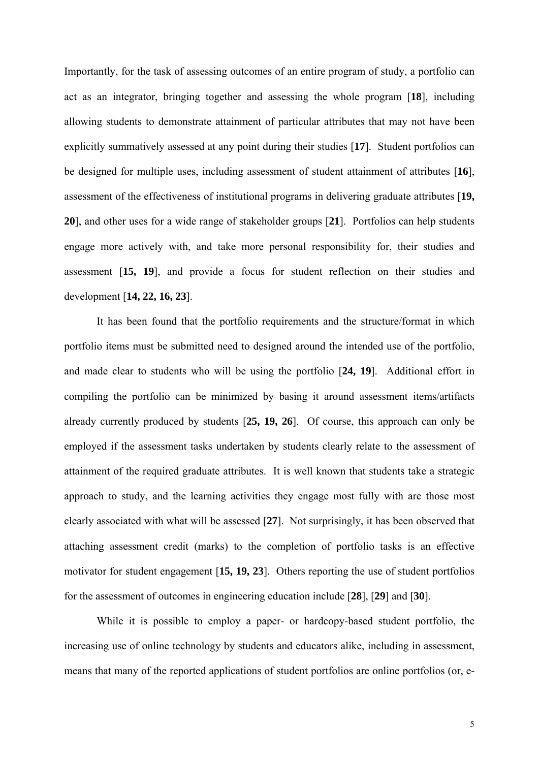Importantly, for the task of assessing outcomes of an entire program of study, a portfolio can act as an integrator, bringing together and assessing the whole program [**18**], including allowing students to demonstrate attainment of particular attributes that may not have been explicitly summatively assessed at any point during their studies [**17**]. Student portfolios can be designed for multiple uses, including assessment of student attainment of attributes [**16**], assessment of the effectiveness of institutional programs in delivering graduate attributes [**19, 20**], and other uses for a wide range of stakeholder groups [**21**]. Portfolios can help students engage more actively with, and take more personal responsibility for, their studies and assessment [**15, 19**], and provide a focus for student reflection on their studies and development [**14, 22, 16, 23**].

 It has been found that the portfolio requirements and the structure/format in which portfolio items must be submitted need to designed around the intended use of the portfolio, and made clear to students who will be using the portfolio [**24, 19**]. Additional effort in compiling the portfolio can be minimized by basing it around assessment items/artifacts already currently produced by students [**25, 19, 26**]. Of course, this approach can only be employed if the assessment tasks undertaken by students clearly relate to the assessment of attainment of the required graduate attributes. It is well known that students take a strategic approach to study, and the learning activities they engage most fully with are those most clearly associated with what will be assessed [**27**]. Not surprisingly, it has been observed that attaching assessment credit (marks) to the completion of portfolio tasks is an effective motivator for student engagement [**15, 19, 23**]. Others reporting the use of student portfolios for the assessment of outcomes in engineering education include [**28**], [**29**] and [**30**].

 While it is possible to employ a paper- or hardcopy-based student portfolio, the increasing use of online technology by students and educators alike, including in assessment, means that many of the reported applications of student portfolios are online portfolios (or, e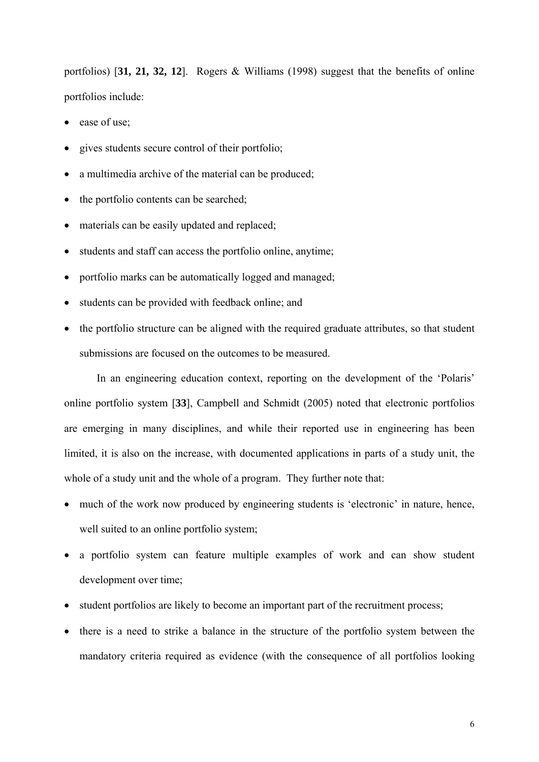portfolios) [**31, 21, 32, 12**]. Rogers & Williams (1998) suggest that the benefits of online portfolios include:

- ease of use;
- gives students secure control of their portfolio;
- a multimedia archive of the material can be produced;
- the portfolio contents can be searched;
- materials can be easily updated and replaced;
- students and staff can access the portfolio online, anytime;
- portfolio marks can be automatically logged and managed;
- students can be provided with feedback online; and
- the portfolio structure can be aligned with the required graduate attributes, so that student submissions are focused on the outcomes to be measured.

In an engineering education context, reporting on the development of the 'Polaris' online portfolio system [**33**], Campbell and Schmidt (2005) noted that electronic portfolios are emerging in many disciplines, and while their reported use in engineering has been limited, it is also on the increase, with documented applications in parts of a study unit, the whole of a study unit and the whole of a program. They further note that:

- much of the work now produced by engineering students is 'electronic' in nature, hence, well suited to an online portfolio system;
- a portfolio system can feature multiple examples of work and can show student development over time;
- student portfolios are likely to become an important part of the recruitment process;
- there is a need to strike a balance in the structure of the portfolio system between the mandatory criteria required as evidence (with the consequence of all portfolios looking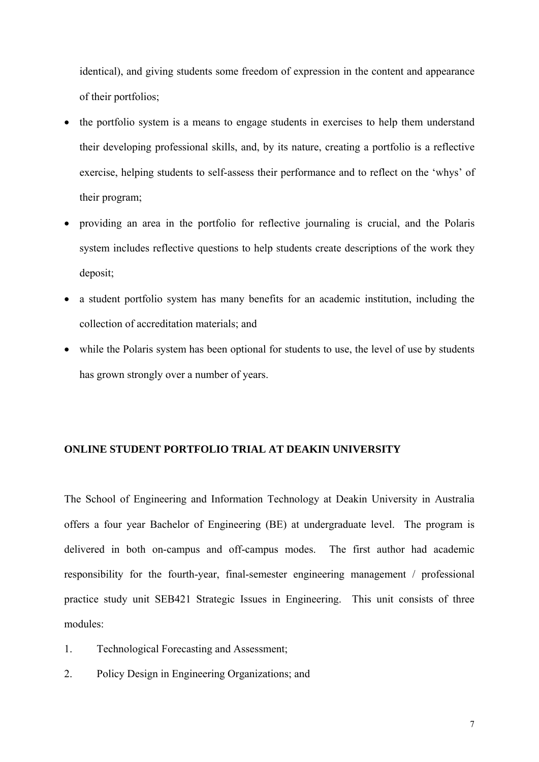identical), and giving students some freedom of expression in the content and appearance of their portfolios;

- the portfolio system is a means to engage students in exercises to help them understand their developing professional skills, and, by its nature, creating a portfolio is a reflective exercise, helping students to self-assess their performance and to reflect on the 'whys' of their program;
- providing an area in the portfolio for reflective journaling is crucial, and the Polaris system includes reflective questions to help students create descriptions of the work they deposit;
- a student portfolio system has many benefits for an academic institution, including the collection of accreditation materials; and
- while the Polaris system has been optional for students to use, the level of use by students has grown strongly over a number of years.

#### **ONLINE STUDENT PORTFOLIO TRIAL AT DEAKIN UNIVERSITY**

The School of Engineering and Information Technology at Deakin University in Australia offers a four year Bachelor of Engineering (BE) at undergraduate level. The program is delivered in both on-campus and off-campus modes. The first author had academic responsibility for the fourth-year, final-semester engineering management / professional practice study unit SEB421 Strategic Issues in Engineering. This unit consists of three modules:

- 1. Technological Forecasting and Assessment;
- 2. Policy Design in Engineering Organizations; and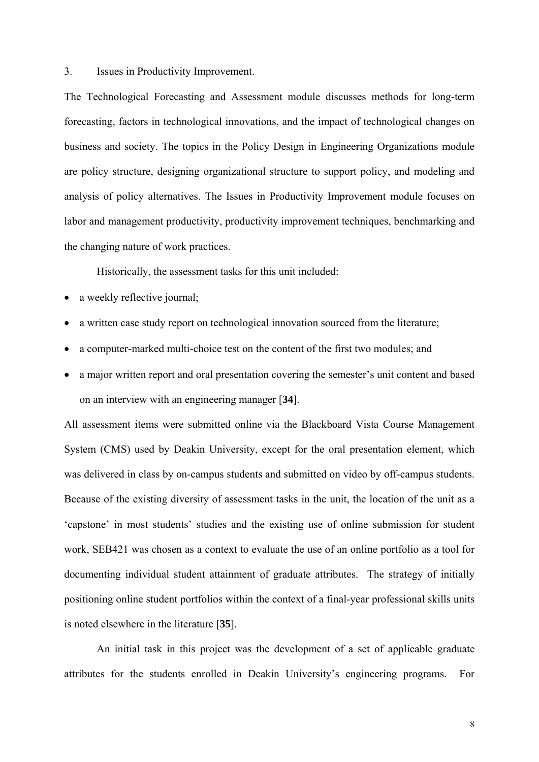3. Issues in Productivity Improvement.

The Technological Forecasting and Assessment module discusses methods for long-term forecasting, factors in technological innovations, and the impact of technological changes on business and society. The topics in the Policy Design in Engineering Organizations module are policy structure, designing organizational structure to support policy, and modeling and analysis of policy alternatives. The Issues in Productivity Improvement module focuses on labor and management productivity, productivity improvement techniques, benchmarking and the changing nature of work practices.

Historically, the assessment tasks for this unit included:

- a weekly reflective journal;
- a written case study report on technological innovation sourced from the literature;
- a computer-marked multi-choice test on the content of the first two modules; and
- a major written report and oral presentation covering the semester's unit content and based on an interview with an engineering manager [**34**].

All assessment items were submitted online via the Blackboard Vista Course Management System (CMS) used by Deakin University, except for the oral presentation element, which was delivered in class by on-campus students and submitted on video by off-campus students. Because of the existing diversity of assessment tasks in the unit, the location of the unit as a 'capstone' in most students' studies and the existing use of online submission for student work, SEB421 was chosen as a context to evaluate the use of an online portfolio as a tool for documenting individual student attainment of graduate attributes. The strategy of initially positioning online student portfolios within the context of a final-year professional skills units is noted elsewhere in the literature [**35**].

An initial task in this project was the development of a set of applicable graduate attributes for the students enrolled in Deakin University's engineering programs. For

8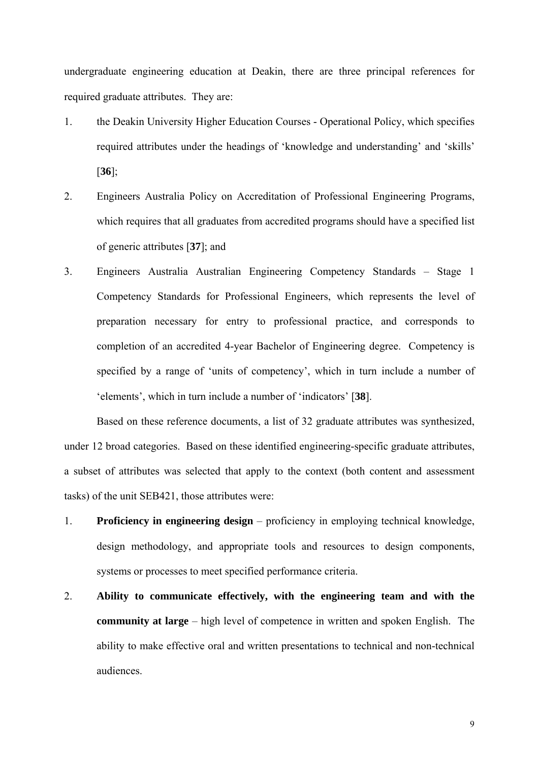undergraduate engineering education at Deakin, there are three principal references for required graduate attributes. They are:

- 1. the Deakin University Higher Education Courses Operational Policy, which specifies required attributes under the headings of 'knowledge and understanding' and 'skills' [**36**];
- 2. Engineers Australia Policy on Accreditation of Professional Engineering Programs, which requires that all graduates from accredited programs should have a specified list of generic attributes [**37**]; and
- 3. Engineers Australia Australian Engineering Competency Standards Stage 1 Competency Standards for Professional Engineers, which represents the level of preparation necessary for entry to professional practice, and corresponds to completion of an accredited 4-year Bachelor of Engineering degree. Competency is specified by a range of 'units of competency', which in turn include a number of 'elements', which in turn include a number of 'indicators' [**38**].

Based on these reference documents, a list of 32 graduate attributes was synthesized, under 12 broad categories. Based on these identified engineering-specific graduate attributes, a subset of attributes was selected that apply to the context (both content and assessment tasks) of the unit SEB421, those attributes were:

- 1. **Proficiency in engineering design** proficiency in employing technical knowledge, design methodology, and appropriate tools and resources to design components, systems or processes to meet specified performance criteria.
- 2. **Ability to communicate effectively, with the engineering team and with the community at large** – high level of competence in written and spoken English. The ability to make effective oral and written presentations to technical and non-technical audiences.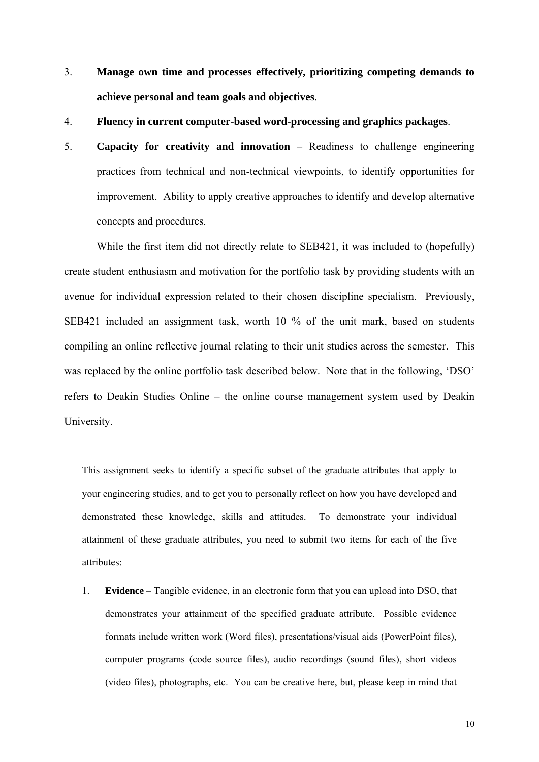- 3. **Manage own time and processes effectively, prioritizing competing demands to achieve personal and team goals and objectives**.
- 4. **Fluency in current computer-based word-processing and graphics packages**.
- 5. **Capacity for creativity and innovation** Readiness to challenge engineering practices from technical and non-technical viewpoints, to identify opportunities for improvement. Ability to apply creative approaches to identify and develop alternative concepts and procedures.

While the first item did not directly relate to SEB421, it was included to (hopefully) create student enthusiasm and motivation for the portfolio task by providing students with an avenue for individual expression related to their chosen discipline specialism. Previously, SEB421 included an assignment task, worth 10 % of the unit mark, based on students compiling an online reflective journal relating to their unit studies across the semester. This was replaced by the online portfolio task described below. Note that in the following, 'DSO' refers to Deakin Studies Online – the online course management system used by Deakin University.

This assignment seeks to identify a specific subset of the graduate attributes that apply to your engineering studies, and to get you to personally reflect on how you have developed and demonstrated these knowledge, skills and attitudes. To demonstrate your individual attainment of these graduate attributes, you need to submit two items for each of the five attributes:

1. **Evidence** – Tangible evidence, in an electronic form that you can upload into DSO, that demonstrates your attainment of the specified graduate attribute. Possible evidence formats include written work (Word files), presentations/visual aids (PowerPoint files), computer programs (code source files), audio recordings (sound files), short videos (video files), photographs, etc. You can be creative here, but, please keep in mind that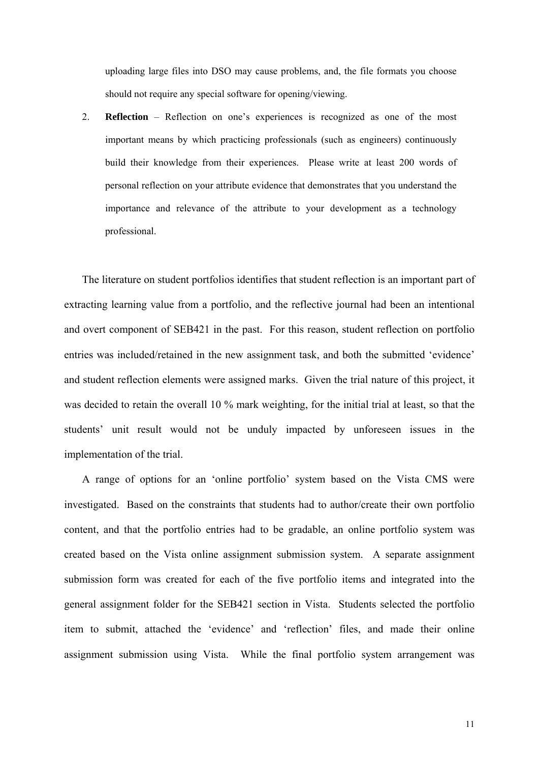uploading large files into DSO may cause problems, and, the file formats you choose should not require any special software for opening/viewing.

2. **Reflection** – Reflection on one's experiences is recognized as one of the most important means by which practicing professionals (such as engineers) continuously build their knowledge from their experiences. Please write at least 200 words of personal reflection on your attribute evidence that demonstrates that you understand the importance and relevance of the attribute to your development as a technology professional.

The literature on student portfolios identifies that student reflection is an important part of extracting learning value from a portfolio, and the reflective journal had been an intentional and overt component of SEB421 in the past. For this reason, student reflection on portfolio entries was included/retained in the new assignment task, and both the submitted 'evidence' and student reflection elements were assigned marks. Given the trial nature of this project, it was decided to retain the overall 10 % mark weighting, for the initial trial at least, so that the students' unit result would not be unduly impacted by unforeseen issues in the implementation of the trial.

A range of options for an 'online portfolio' system based on the Vista CMS were investigated. Based on the constraints that students had to author/create their own portfolio content, and that the portfolio entries had to be gradable, an online portfolio system was created based on the Vista online assignment submission system. A separate assignment submission form was created for each of the five portfolio items and integrated into the general assignment folder for the SEB421 section in Vista. Students selected the portfolio item to submit, attached the 'evidence' and 'reflection' files, and made their online assignment submission using Vista. While the final portfolio system arrangement was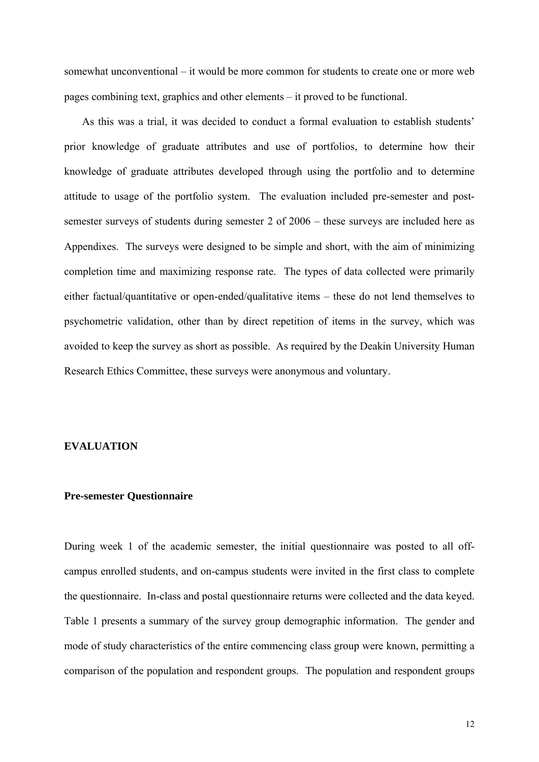somewhat unconventional – it would be more common for students to create one or more web pages combining text, graphics and other elements – it proved to be functional.

As this was a trial, it was decided to conduct a formal evaluation to establish students' prior knowledge of graduate attributes and use of portfolios, to determine how their knowledge of graduate attributes developed through using the portfolio and to determine attitude to usage of the portfolio system. The evaluation included pre-semester and postsemester surveys of students during semester 2 of 2006 – these surveys are included here as Appendixes. The surveys were designed to be simple and short, with the aim of minimizing completion time and maximizing response rate. The types of data collected were primarily either factual/quantitative or open-ended/qualitative items – these do not lend themselves to psychometric validation, other than by direct repetition of items in the survey, which was avoided to keep the survey as short as possible. As required by the Deakin University Human Research Ethics Committee, these surveys were anonymous and voluntary.

#### **EVALUATION**

#### **Pre-semester Questionnaire**

During week 1 of the academic semester, the initial questionnaire was posted to all offcampus enrolled students, and on-campus students were invited in the first class to complete the questionnaire. In-class and postal questionnaire returns were collected and the data keyed. Table 1 presents a summary of the survey group demographic information. The gender and mode of study characteristics of the entire commencing class group were known, permitting a comparison of the population and respondent groups. The population and respondent groups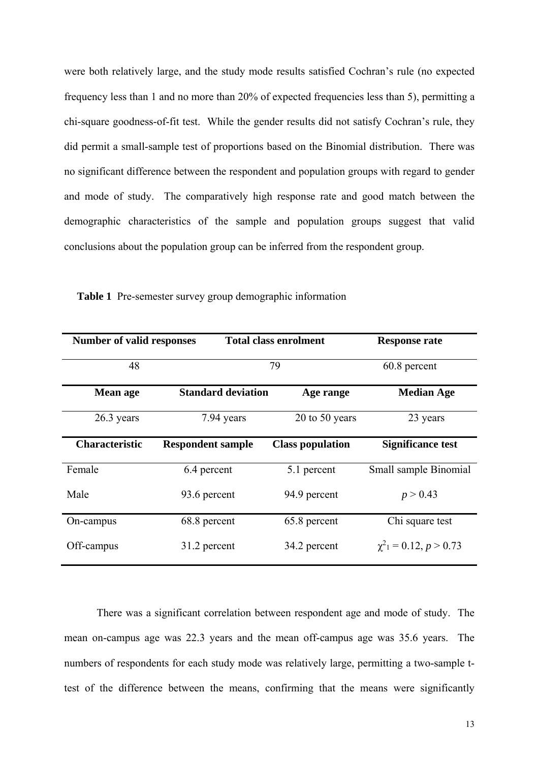were both relatively large, and the study mode results satisfied Cochran's rule (no expected frequency less than 1 and no more than 20% of expected frequencies less than 5), permitting a chi-square goodness-of-fit test. While the gender results did not satisfy Cochran's rule, they did permit a small-sample test of proportions based on the Binomial distribution. There was no significant difference between the respondent and population groups with regard to gender and mode of study. The comparatively high response rate and good match between the demographic characteristics of the sample and population groups suggest that valid conclusions about the population group can be inferred from the respondent group.

| <b>Number of valid responses</b> |                           | <b>Total class enrolment</b> | <b>Response rate</b>        |  |
|----------------------------------|---------------------------|------------------------------|-----------------------------|--|
| 48                               |                           | 79                           | 60.8 percent                |  |
| <b>Mean age</b>                  | <b>Standard deviation</b> | Age range                    | <b>Median Age</b>           |  |
| 26.3 years                       | 7.94 years                | $20$ to $50$ years           | 23 years                    |  |
| <b>Characteristic</b>            | <b>Respondent sample</b>  | <b>Class population</b>      | <b>Significance test</b>    |  |
| Female                           | 6.4 percent               | 5.1 percent                  | Small sample Binomial       |  |
| Male                             | 93.6 percent              | 94.9 percent                 | p > 0.43                    |  |
| On-campus                        | 68.8 percent              | 65.8 percent                 | Chi square test             |  |
| Off-campus                       | 31.2 percent              | 34.2 percent                 | $\chi^2_1 = 0.12, p > 0.73$ |  |

**Table 1** Pre-semester survey group demographic information

 There was a significant correlation between respondent age and mode of study. The mean on-campus age was 22.3 years and the mean off-campus age was 35.6 years. The numbers of respondents for each study mode was relatively large, permitting a two-sample ttest of the difference between the means, confirming that the means were significantly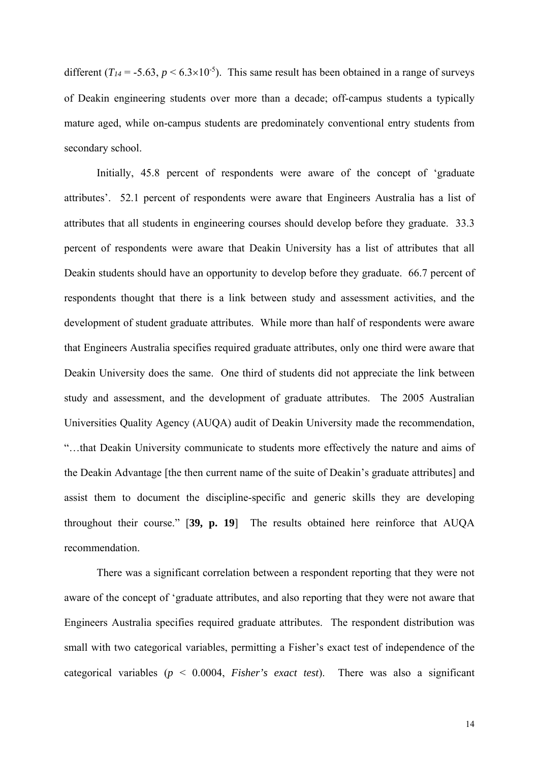different  $(T_{14} = -5.63, p \le 6.3 \times 10^{-5})$ . This same result has been obtained in a range of surveys of Deakin engineering students over more than a decade; off-campus students a typically mature aged, while on-campus students are predominately conventional entry students from secondary school.

 Initially, 45.8 percent of respondents were aware of the concept of 'graduate attributes'. 52.1 percent of respondents were aware that Engineers Australia has a list of attributes that all students in engineering courses should develop before they graduate. 33.3 percent of respondents were aware that Deakin University has a list of attributes that all Deakin students should have an opportunity to develop before they graduate. 66.7 percent of respondents thought that there is a link between study and assessment activities, and the development of student graduate attributes. While more than half of respondents were aware that Engineers Australia specifies required graduate attributes, only one third were aware that Deakin University does the same. One third of students did not appreciate the link between study and assessment, and the development of graduate attributes. The 2005 Australian Universities Quality Agency (AUQA) audit of Deakin University made the recommendation, "…that Deakin University communicate to students more effectively the nature and aims of the Deakin Advantage [the then current name of the suite of Deakin's graduate attributes] and assist them to document the discipline-specific and generic skills they are developing throughout their course." [**39, p. 19**] The results obtained here reinforce that AUQA recommendation.

 There was a significant correlation between a respondent reporting that they were not aware of the concept of 'graduate attributes, and also reporting that they were not aware that Engineers Australia specifies required graduate attributes. The respondent distribution was small with two categorical variables, permitting a Fisher's exact test of independence of the categorical variables (*p* < 0.0004, *Fisher's exact test*). There was also a significant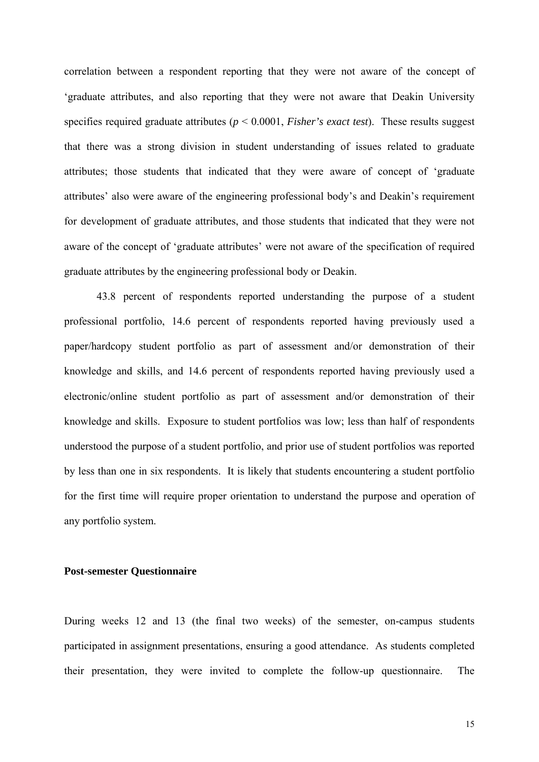correlation between a respondent reporting that they were not aware of the concept of 'graduate attributes, and also reporting that they were not aware that Deakin University specifies required graduate attributes (*p* < 0.0001, *Fisher's exact test*). These results suggest that there was a strong division in student understanding of issues related to graduate attributes; those students that indicated that they were aware of concept of 'graduate attributes' also were aware of the engineering professional body's and Deakin's requirement for development of graduate attributes, and those students that indicated that they were not aware of the concept of 'graduate attributes' were not aware of the specification of required graduate attributes by the engineering professional body or Deakin.

 43.8 percent of respondents reported understanding the purpose of a student professional portfolio, 14.6 percent of respondents reported having previously used a paper/hardcopy student portfolio as part of assessment and/or demonstration of their knowledge and skills, and 14.6 percent of respondents reported having previously used a electronic/online student portfolio as part of assessment and/or demonstration of their knowledge and skills. Exposure to student portfolios was low; less than half of respondents understood the purpose of a student portfolio, and prior use of student portfolios was reported by less than one in six respondents. It is likely that students encountering a student portfolio for the first time will require proper orientation to understand the purpose and operation of any portfolio system.

#### **Post-semester Questionnaire**

During weeks 12 and 13 (the final two weeks) of the semester, on-campus students participated in assignment presentations, ensuring a good attendance. As students completed their presentation, they were invited to complete the follow-up questionnaire. The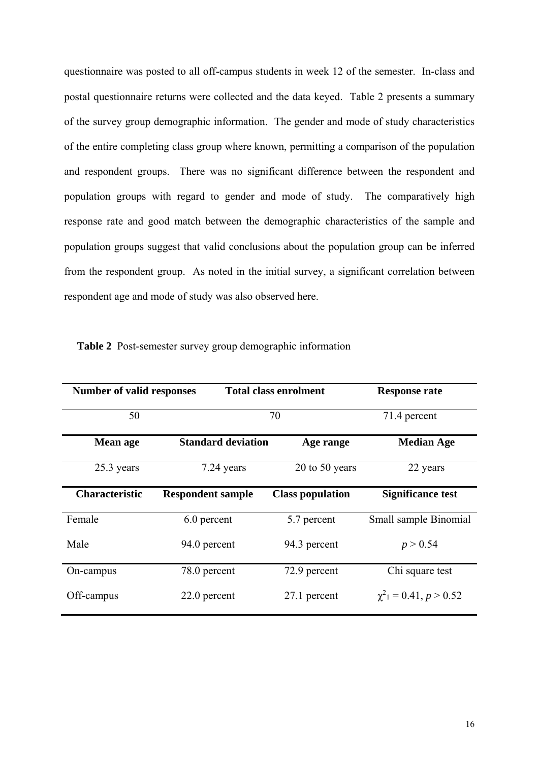questionnaire was posted to all off-campus students in week 12 of the semester. In-class and postal questionnaire returns were collected and the data keyed. Table 2 presents a summary of the survey group demographic information. The gender and mode of study characteristics of the entire completing class group where known, permitting a comparison of the population and respondent groups. There was no significant difference between the respondent and population groups with regard to gender and mode of study. The comparatively high response rate and good match between the demographic characteristics of the sample and population groups suggest that valid conclusions about the population group can be inferred from the respondent group. As noted in the initial survey, a significant correlation between respondent age and mode of study was also observed here.

| <b>Number of valid responses</b> |                           | <b>Total class enrolment</b> | <b>Response rate</b>                     |  |
|----------------------------------|---------------------------|------------------------------|------------------------------------------|--|
| 50                               |                           | 70                           | 71.4 percent                             |  |
| <b>Mean age</b>                  | <b>Standard deviation</b> | Age range                    | <b>Median Age</b>                        |  |
| 25.3 years                       | 7.24 years                | 20 to 50 years               | 22 years                                 |  |
| <b>Characteristic</b>            | <b>Respondent sample</b>  | <b>Class population</b>      | <b>Significance test</b>                 |  |
| Female                           | 6.0 percent               | 5.7 percent                  | Small sample Binomial                    |  |
| Male                             | 94.0 percent              | 94.3 percent                 | p > 0.54                                 |  |
| On-campus                        | 78.0 percent              | 72.9 percent                 | Chi square test                          |  |
| Off-campus                       | 22.0 percent              | 27.1 percent                 | $\chi^2$ <sub>1</sub> = 0.41, $p > 0.52$ |  |

| Table 2 Post-semester survey group demographic information |  |  |  |  |
|------------------------------------------------------------|--|--|--|--|
|                                                            |  |  |  |  |
|                                                            |  |  |  |  |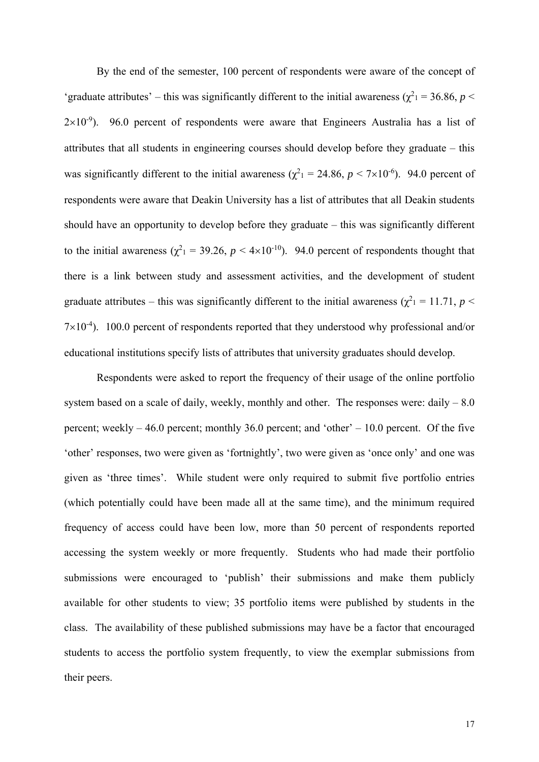By the end of the semester, 100 percent of respondents were aware of the concept of 'graduate attributes' – this was significantly different to the initial awareness ( $\chi^2$ <sub>1</sub> = 36.86, *p* <  $2\times10^{-9}$ ). 96.0 percent of respondents were aware that Engineers Australia has a list of attributes that all students in engineering courses should develop before they graduate – this was significantly different to the initial awareness ( $\chi^2$ <sub>1</sub> = 24.86, *p* < 7×10<sup>-6</sup>). 94.0 percent of respondents were aware that Deakin University has a list of attributes that all Deakin students should have an opportunity to develop before they graduate – this was significantly different to the initial awareness ( $\chi^2$ <sub>1</sub> = 39.26, *p* < 4×10<sup>-10</sup>). 94.0 percent of respondents thought that there is a link between study and assessment activities, and the development of student graduate attributes – this was significantly different to the initial awareness ( $\chi^2$ <sub>1</sub> = 11.71, *p* <  $7\times10^{-4}$ ). 100.0 percent of respondents reported that they understood why professional and/or educational institutions specify lists of attributes that university graduates should develop.

 Respondents were asked to report the frequency of their usage of the online portfolio system based on a scale of daily, weekly, monthly and other. The responses were: daily  $-8.0$ percent; weekly – 46.0 percent; monthly 36.0 percent; and 'other' – 10.0 percent. Of the five 'other' responses, two were given as 'fortnightly', two were given as 'once only' and one was given as 'three times'. While student were only required to submit five portfolio entries (which potentially could have been made all at the same time), and the minimum required frequency of access could have been low, more than 50 percent of respondents reported accessing the system weekly or more frequently. Students who had made their portfolio submissions were encouraged to 'publish' their submissions and make them publicly available for other students to view; 35 portfolio items were published by students in the class. The availability of these published submissions may have be a factor that encouraged students to access the portfolio system frequently, to view the exemplar submissions from their peers.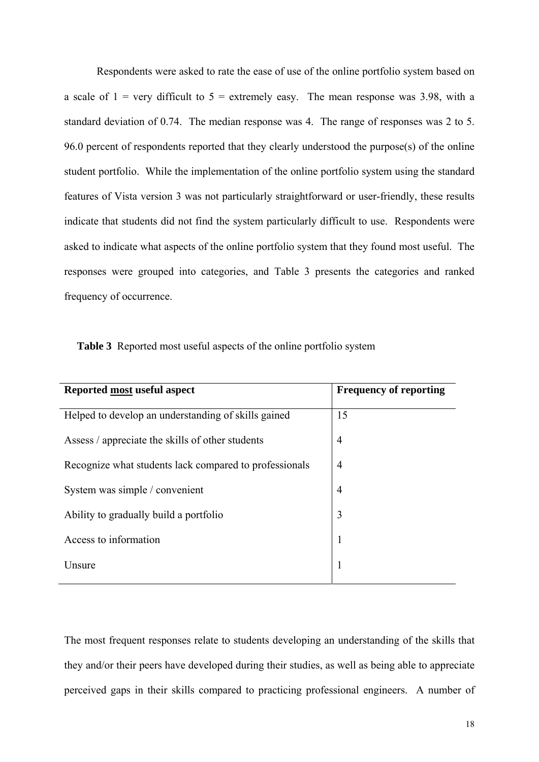Respondents were asked to rate the ease of use of the online portfolio system based on a scale of  $1 = \text{very difficult to } 5 = \text{extremely easy.}$  The mean response was 3.98, with a standard deviation of 0.74. The median response was 4. The range of responses was 2 to 5. 96.0 percent of respondents reported that they clearly understood the purpose(s) of the online student portfolio. While the implementation of the online portfolio system using the standard features of Vista version 3 was not particularly straightforward or user-friendly, these results indicate that students did not find the system particularly difficult to use. Respondents were asked to indicate what aspects of the online portfolio system that they found most useful. The responses were grouped into categories, and Table 3 presents the categories and ranked frequency of occurrence.

|  | Table 3 Reported most useful aspects of the online portfolio system |  |  |  |  |  |  |
|--|---------------------------------------------------------------------|--|--|--|--|--|--|
|--|---------------------------------------------------------------------|--|--|--|--|--|--|

| Reported most useful aspect                            | <b>Frequency of reporting</b> |
|--------------------------------------------------------|-------------------------------|
| Helped to develop an understanding of skills gained    | 15                            |
| Assess / appreciate the skills of other students       | $\overline{4}$                |
| Recognize what students lack compared to professionals | $\overline{4}$                |
| System was simple / convenient                         | $\overline{4}$                |
| Ability to gradually build a portfolio                 | 3                             |
| Access to information                                  | $\mathbf{1}$                  |
| Unsure                                                 | 1                             |
|                                                        |                               |

The most frequent responses relate to students developing an understanding of the skills that they and/or their peers have developed during their studies, as well as being able to appreciate perceived gaps in their skills compared to practicing professional engineers. A number of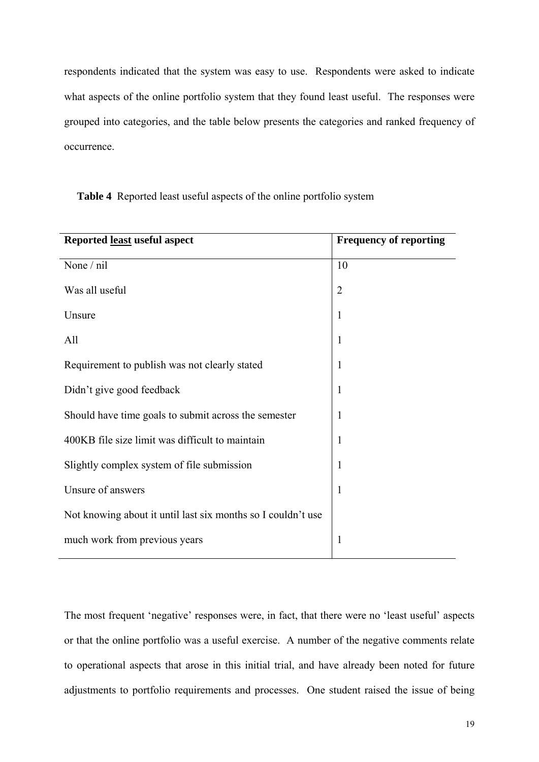respondents indicated that the system was easy to use. Respondents were asked to indicate what aspects of the online portfolio system that they found least useful. The responses were grouped into categories, and the table below presents the categories and ranked frequency of occurrence.

| <b>Frequency of reporting</b> |
|-------------------------------|
| 10                            |
| $\overline{2}$                |
| $\mathbf{1}$                  |
| 1                             |
| 1                             |
| $\mathbf{1}$                  |
| $\mathbf{1}$                  |
| 1                             |
| 1                             |
| $\mathbf{1}$                  |
|                               |
| $\mathbf{1}$                  |
|                               |

**Table 4** Reported least useful aspects of the online portfolio system

The most frequent 'negative' responses were, in fact, that there were no 'least useful' aspects or that the online portfolio was a useful exercise. A number of the negative comments relate to operational aspects that arose in this initial trial, and have already been noted for future adjustments to portfolio requirements and processes. One student raised the issue of being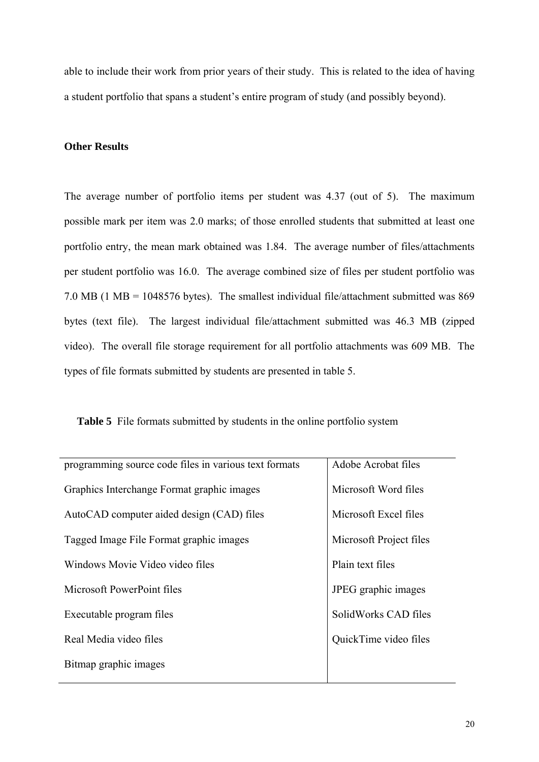able to include their work from prior years of their study. This is related to the idea of having a student portfolio that spans a student's entire program of study (and possibly beyond).

#### **Other Results**

The average number of portfolio items per student was 4.37 (out of 5). The maximum possible mark per item was 2.0 marks; of those enrolled students that submitted at least one portfolio entry, the mean mark obtained was 1.84. The average number of files/attachments per student portfolio was 16.0. The average combined size of files per student portfolio was 7.0 MB (1 MB = 1048576 bytes). The smallest individual file/attachment submitted was 869 bytes (text file). The largest individual file/attachment submitted was 46.3 MB (zipped video). The overall file storage requirement for all portfolio attachments was 609 MB. The types of file formats submitted by students are presented in table 5.

| Table 5 File formats submitted by students in the online portfolio system |  |  |  |
|---------------------------------------------------------------------------|--|--|--|
|---------------------------------------------------------------------------|--|--|--|

| programming source code files in various text formats | Adobe Acrobat files     |  |
|-------------------------------------------------------|-------------------------|--|
| Graphics Interchange Format graphic images            | Microsoft Word files    |  |
| AutoCAD computer aided design (CAD) files             | Microsoft Excel files   |  |
| Tagged Image File Format graphic images               | Microsoft Project files |  |
| Windows Movie Video video files                       | Plain text files        |  |
| Microsoft PowerPoint files                            | JPEG graphic images     |  |
| Executable program files                              | SolidWorks CAD files    |  |
| Real Media video files                                | QuickTime video files   |  |
| Bitmap graphic images                                 |                         |  |
|                                                       |                         |  |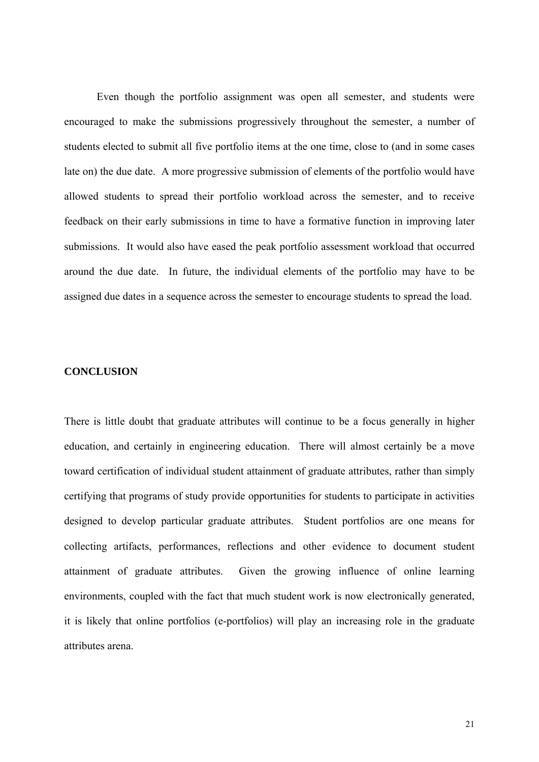Even though the portfolio assignment was open all semester, and students were encouraged to make the submissions progressively throughout the semester, a number of students elected to submit all five portfolio items at the one time, close to (and in some cases late on) the due date. A more progressive submission of elements of the portfolio would have allowed students to spread their portfolio workload across the semester, and to receive feedback on their early submissions in time to have a formative function in improving later submissions. It would also have eased the peak portfolio assessment workload that occurred around the due date. In future, the individual elements of the portfolio may have to be assigned due dates in a sequence across the semester to encourage students to spread the load.

#### **CONCLUSION**

There is little doubt that graduate attributes will continue to be a focus generally in higher education, and certainly in engineering education. There will almost certainly be a move toward certification of individual student attainment of graduate attributes, rather than simply certifying that programs of study provide opportunities for students to participate in activities designed to develop particular graduate attributes. Student portfolios are one means for collecting artifacts, performances, reflections and other evidence to document student attainment of graduate attributes. Given the growing influence of online learning environments, coupled with the fact that much student work is now electronically generated, it is likely that online portfolios (e-portfolios) will play an increasing role in the graduate attributes arena.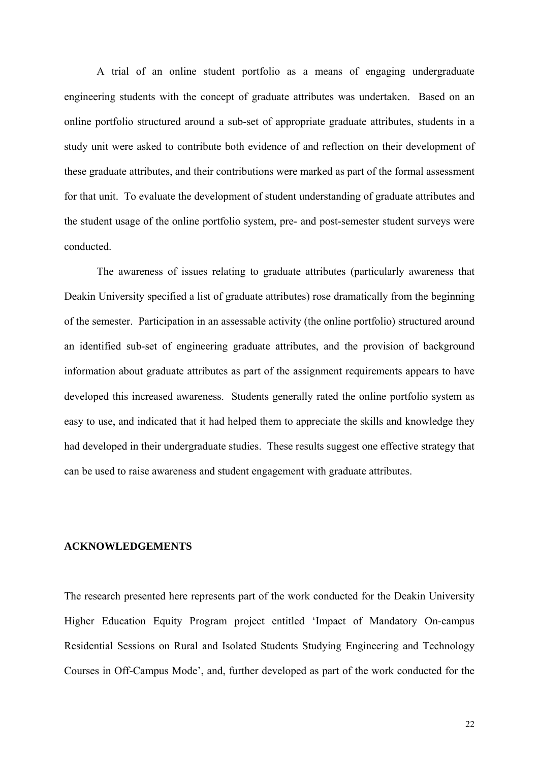A trial of an online student portfolio as a means of engaging undergraduate engineering students with the concept of graduate attributes was undertaken. Based on an online portfolio structured around a sub-set of appropriate graduate attributes, students in a study unit were asked to contribute both evidence of and reflection on their development of these graduate attributes, and their contributions were marked as part of the formal assessment for that unit. To evaluate the development of student understanding of graduate attributes and the student usage of the online portfolio system, pre- and post-semester student surveys were conducted.

The awareness of issues relating to graduate attributes (particularly awareness that Deakin University specified a list of graduate attributes) rose dramatically from the beginning of the semester. Participation in an assessable activity (the online portfolio) structured around an identified sub-set of engineering graduate attributes, and the provision of background information about graduate attributes as part of the assignment requirements appears to have developed this increased awareness. Students generally rated the online portfolio system as easy to use, and indicated that it had helped them to appreciate the skills and knowledge they had developed in their undergraduate studies. These results suggest one effective strategy that can be used to raise awareness and student engagement with graduate attributes.

#### **ACKNOWLEDGEMENTS**

The research presented here represents part of the work conducted for the Deakin University Higher Education Equity Program project entitled 'Impact of Mandatory On-campus Residential Sessions on Rural and Isolated Students Studying Engineering and Technology Courses in Off-Campus Mode', and, further developed as part of the work conducted for the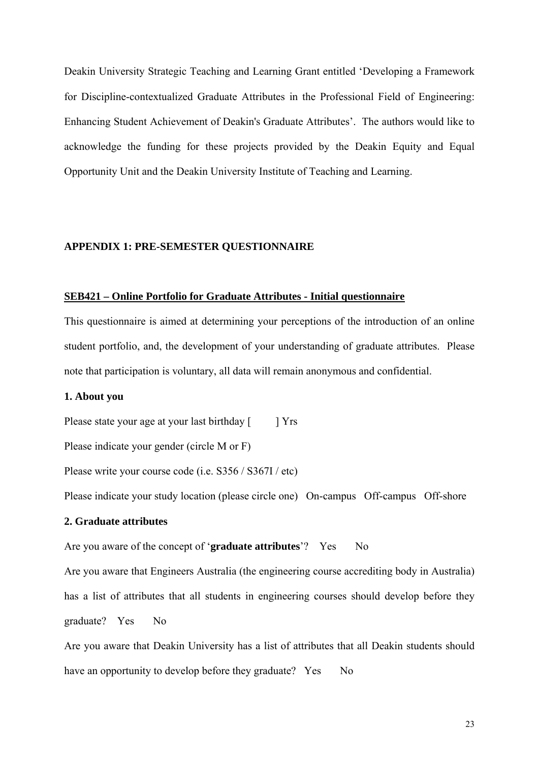Deakin University Strategic Teaching and Learning Grant entitled 'Developing a Framework for Discipline-contextualized Graduate Attributes in the Professional Field of Engineering: Enhancing Student Achievement of Deakin's Graduate Attributes'. The authors would like to acknowledge the funding for these projects provided by the Deakin Equity and Equal Opportunity Unit and the Deakin University Institute of Teaching and Learning.

#### **APPENDIX 1: PRE-SEMESTER QUESTIONNAIRE**

#### **SEB421 – Online Portfolio for Graduate Attributes - Initial questionnaire**

This questionnaire is aimed at determining your perceptions of the introduction of an online student portfolio, and, the development of your understanding of graduate attributes. Please note that participation is voluntary, all data will remain anonymous and confidential.

#### **1. About you**

Please state your age at your last birthday [ ] Yrs

Please indicate your gender (circle M or F)

Please write your course code (i.e. S356 / S367I / etc)

Please indicate your study location (please circle one) On-campus Off-campus Off-shore

### **2. Graduate attributes**

#### Are you aware of the concept of '**graduate attributes**'? Yes No

Are you aware that Engineers Australia (the engineering course accrediting body in Australia) has a list of attributes that all students in engineering courses should develop before they graduate? Yes No

Are you aware that Deakin University has a list of attributes that all Deakin students should have an opportunity to develop before they graduate? Yes No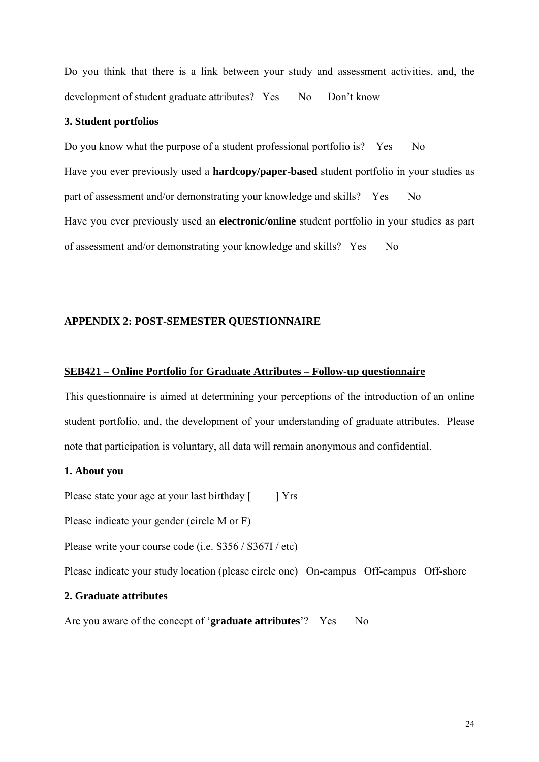Do you think that there is a link between your study and assessment activities, and, the development of student graduate attributes? Yes No Don't know

#### **3. Student portfolios**

Do you know what the purpose of a student professional portfolio is? Yes No Have you ever previously used a **hardcopy/paper-based** student portfolio in your studies as part of assessment and/or demonstrating your knowledge and skills? Yes No Have you ever previously used an **electronic/online** student portfolio in your studies as part of assessment and/or demonstrating your knowledge and skills? Yes No

#### **APPENDIX 2: POST-SEMESTER QUESTIONNAIRE**

#### **SEB421 – Online Portfolio for Graduate Attributes – Follow-up questionnaire**

This questionnaire is aimed at determining your perceptions of the introduction of an online student portfolio, and, the development of your understanding of graduate attributes. Please note that participation is voluntary, all data will remain anonymous and confidential.

## **1. About you**

Please state your age at your last birthday [ ] Yrs

Please indicate your gender (circle M or F)

Please write your course code (i.e. S356 / S367I / etc)

Please indicate your study location (please circle one) On-campus Off-campus Off-shore

#### **2. Graduate attributes**

Are you aware of the concept of '**graduate attributes**'? Yes No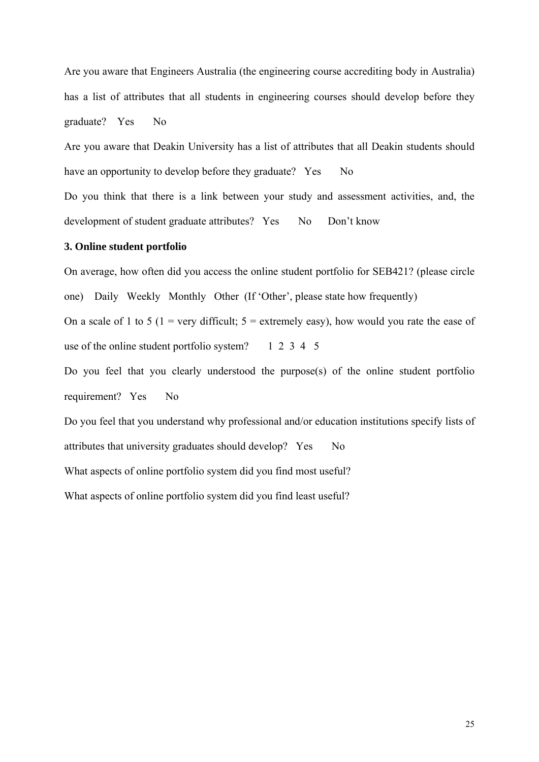Are you aware that Engineers Australia (the engineering course accrediting body in Australia) has a list of attributes that all students in engineering courses should develop before they graduate? Yes No

Are you aware that Deakin University has a list of attributes that all Deakin students should have an opportunity to develop before they graduate? Yes No

Do you think that there is a link between your study and assessment activities, and, the development of student graduate attributes? Yes No Don't know

#### **3. Online student portfolio**

On average, how often did you access the online student portfolio for SEB421? (please circle one) Daily Weekly Monthly Other (If 'Other', please state how frequently) On a scale of 1 to 5 (1 = very difficult;  $5 =$  extremely easy), how would you rate the ease of use of the online student portfolio system?  $1\ 2\ 3\ 4\ 5$ 

Do you feel that you clearly understood the purpose(s) of the online student portfolio requirement? Yes No

Do you feel that you understand why professional and/or education institutions specify lists of attributes that university graduates should develop? Yes No What aspects of online portfolio system did you find most useful? What aspects of online portfolio system did you find least useful?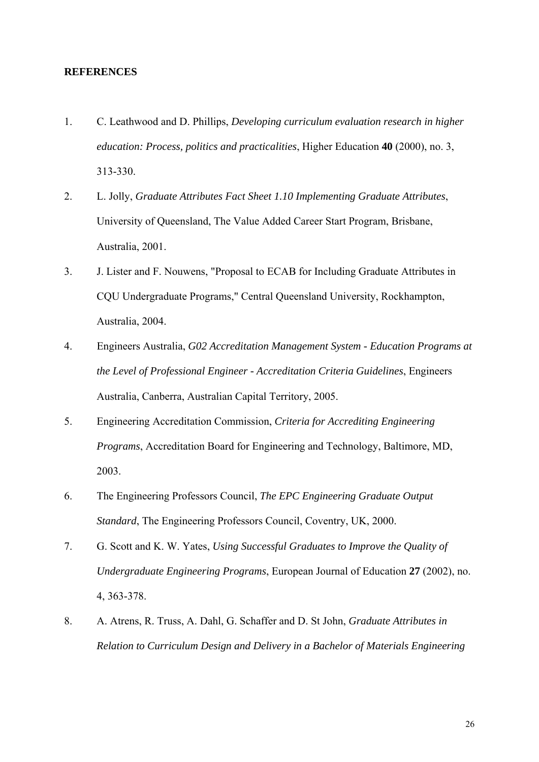#### **REFERENCES**

- 1. C. Leathwood and D. Phillips, *Developing curriculum evaluation research in higher education: Process, politics and practicalities*, Higher Education **40** (2000), no. 3, 313-330.
- 2. L. Jolly, *Graduate Attributes Fact Sheet 1.10 Implementing Graduate Attributes*, University of Queensland, The Value Added Career Start Program, Brisbane, Australia, 2001.
- 3. J. Lister and F. Nouwens, "Proposal to ECAB for Including Graduate Attributes in CQU Undergraduate Programs," Central Queensland University, Rockhampton, Australia, 2004.
- 4. Engineers Australia, *G02 Accreditation Management System Education Programs at the Level of Professional Engineer - Accreditation Criteria Guidelines*, Engineers Australia, Canberra, Australian Capital Territory, 2005.
- 5. Engineering Accreditation Commission, *Criteria for Accrediting Engineering Programs*, Accreditation Board for Engineering and Technology, Baltimore, MD, 2003.
- 6. The Engineering Professors Council, *The EPC Engineering Graduate Output Standard*, The Engineering Professors Council, Coventry, UK, 2000.
- 7. G. Scott and K. W. Yates, *Using Successful Graduates to Improve the Quality of Undergraduate Engineering Programs*, European Journal of Education **27** (2002), no. 4, 363-378.
- 8. A. Atrens, R. Truss, A. Dahl, G. Schaffer and D. St John, *Graduate Attributes in Relation to Curriculum Design and Delivery in a Bachelor of Materials Engineering*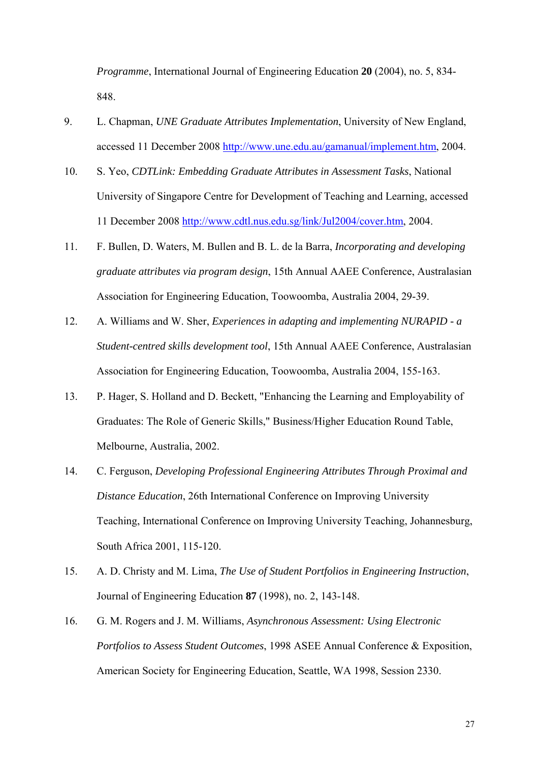*Programme*, International Journal of Engineering Education **20** (2004), no. 5, 834- 848.

- 9. L. Chapman, *UNE Graduate Attributes Implementation*, University of New England, accessed 11 December 2008 http://www.une.edu.au/gamanual/implement.htm, 2004.
- 10. S. Yeo, *CDTLink: Embedding Graduate Attributes in Assessment Tasks*, National University of Singapore Centre for Development of Teaching and Learning, accessed 11 December 2008 http://www.cdtl.nus.edu.sg/link/Jul2004/cover.htm, 2004.
- 11. F. Bullen, D. Waters, M. Bullen and B. L. de la Barra, *Incorporating and developing graduate attributes via program design*, 15th Annual AAEE Conference, Australasian Association for Engineering Education, Toowoomba, Australia 2004, 29-39.
- 12. A. Williams and W. Sher, *Experiences in adapting and implementing NURAPID a Student-centred skills development tool*, 15th Annual AAEE Conference, Australasian Association for Engineering Education, Toowoomba, Australia 2004, 155-163.
- 13. P. Hager, S. Holland and D. Beckett, "Enhancing the Learning and Employability of Graduates: The Role of Generic Skills," Business/Higher Education Round Table, Melbourne, Australia, 2002.
- 14. C. Ferguson, *Developing Professional Engineering Attributes Through Proximal and Distance Education*, 26th International Conference on Improving University Teaching, International Conference on Improving University Teaching, Johannesburg, South Africa 2001, 115-120.
- 15. A. D. Christy and M. Lima, *The Use of Student Portfolios in Engineering Instruction*, Journal of Engineering Education **87** (1998), no. 2, 143-148.
- 16. G. M. Rogers and J. M. Williams, *Asynchronous Assessment: Using Electronic Portfolios to Assess Student Outcomes*, 1998 ASEE Annual Conference & Exposition, American Society for Engineering Education, Seattle, WA 1998, Session 2330.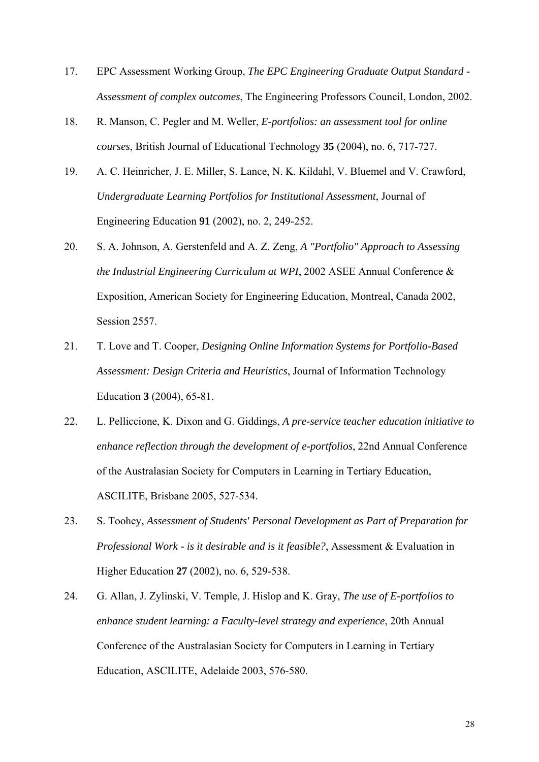- 17. EPC Assessment Working Group, *The EPC Engineering Graduate Output Standard Assessment of complex outcomes*, The Engineering Professors Council, London, 2002.
- 18. R. Manson, C. Pegler and M. Weller, *E-portfolios: an assessment tool for online courses*, British Journal of Educational Technology **35** (2004), no. 6, 717-727.
- 19. A. C. Heinricher, J. E. Miller, S. Lance, N. K. Kildahl, V. Bluemel and V. Crawford, *Undergraduate Learning Portfolios for Institutional Assessment*, Journal of Engineering Education **91** (2002), no. 2, 249-252.
- 20. S. A. Johnson, A. Gerstenfeld and A. Z. Zeng, *A "Portfolio" Approach to Assessing the Industrial Engineering Curriculum at WPI*, 2002 ASEE Annual Conference & Exposition, American Society for Engineering Education, Montreal, Canada 2002, Session 2557.
- 21. T. Love and T. Cooper, *Designing Online Information Systems for Portfolio-Based Assessment: Design Criteria and Heuristics*, Journal of Information Technology Education **3** (2004), 65-81.
- 22. L. Pelliccione, K. Dixon and G. Giddings, *A pre-service teacher education initiative to enhance reflection through the development of e-portfolios*, 22nd Annual Conference of the Australasian Society for Computers in Learning in Tertiary Education, ASCILITE, Brisbane 2005, 527-534.
- 23. S. Toohey, *Assessment of Students' Personal Development as Part of Preparation for Professional Work - is it desirable and is it feasible?*, Assessment & Evaluation in Higher Education **27** (2002), no. 6, 529-538.
- 24. G. Allan, J. Zylinski, V. Temple, J. Hislop and K. Gray, *The use of E-portfolios to enhance student learning: a Faculty-level strategy and experience*, 20th Annual Conference of the Australasian Society for Computers in Learning in Tertiary Education, ASCILITE, Adelaide 2003, 576-580.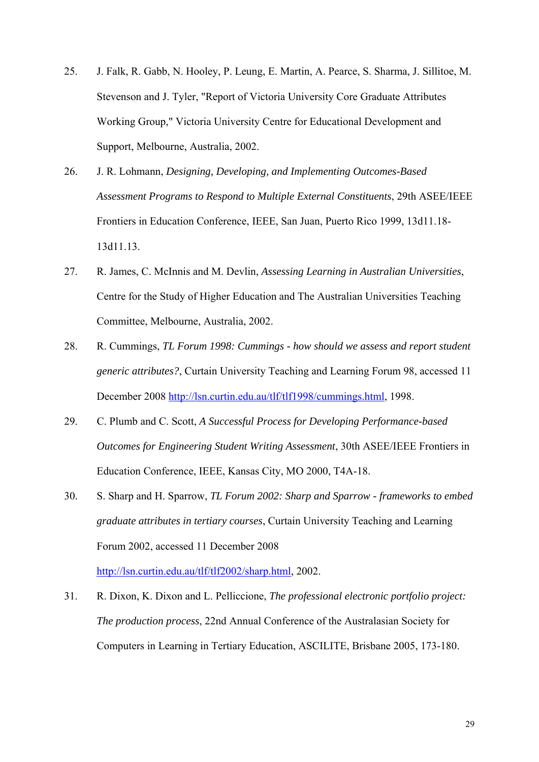- 25. J. Falk, R. Gabb, N. Hooley, P. Leung, E. Martin, A. Pearce, S. Sharma, J. Sillitoe, M. Stevenson and J. Tyler, "Report of Victoria University Core Graduate Attributes Working Group," Victoria University Centre for Educational Development and Support, Melbourne, Australia, 2002.
- 26. J. R. Lohmann, *Designing, Developing, and Implementing Outcomes-Based Assessment Programs to Respond to Multiple External Constituents*, 29th ASEE/IEEE Frontiers in Education Conference, IEEE, San Juan, Puerto Rico 1999, 13d11.18- 13d11.13.
- 27. R. James, C. McInnis and M. Devlin, *Assessing Learning in Australian Universities*, Centre for the Study of Higher Education and The Australian Universities Teaching Committee, Melbourne, Australia, 2002.
- 28. R. Cummings, *TL Forum 1998: Cummings how should we assess and report student generic attributes?*, Curtain University Teaching and Learning Forum 98, accessed 11 December 2008 http://lsn.curtin.edu.au/tlf/tlf1998/cummings.html, 1998.
- 29. C. Plumb and C. Scott, *A Successful Process for Developing Performance-based Outcomes for Engineering Student Writing Assessment*, 30th ASEE/IEEE Frontiers in Education Conference, IEEE, Kansas City, MO 2000, T4A-18.
- 30. S. Sharp and H. Sparrow, *TL Forum 2002: Sharp and Sparrow frameworks to embed graduate attributes in tertiary courses*, Curtain University Teaching and Learning Forum 2002, accessed 11 December 2008

http://lsn.curtin.edu.au/tlf/tlf2002/sharp.html, 2002.

31. R. Dixon, K. Dixon and L. Pelliccione, *The professional electronic portfolio project: The production process*, 22nd Annual Conference of the Australasian Society for Computers in Learning in Tertiary Education, ASCILITE, Brisbane 2005, 173-180.